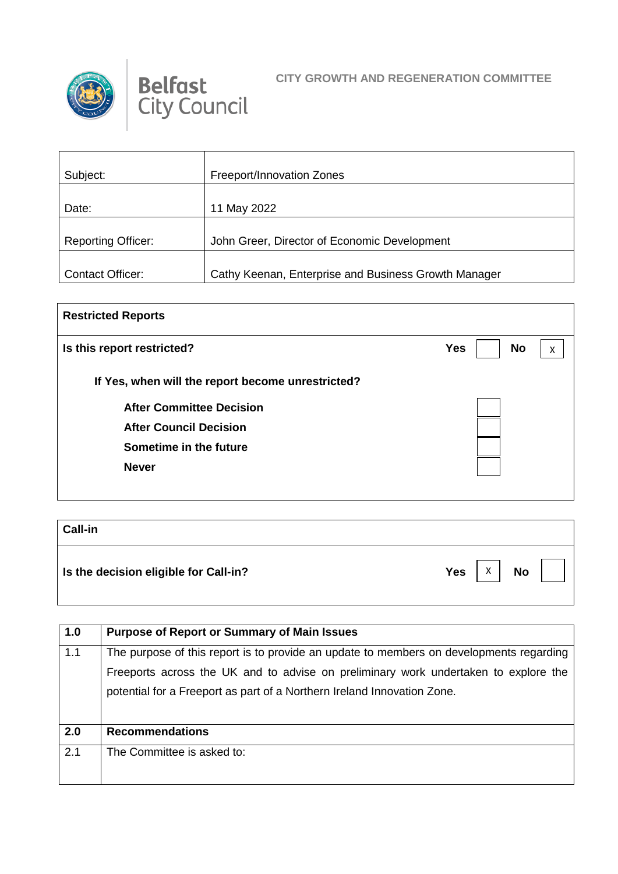



| Subject:                  | Freeport/Innovation Zones                            |
|---------------------------|------------------------------------------------------|
|                           |                                                      |
| Date:                     | 11 May 2022                                          |
|                           |                                                      |
| <b>Reporting Officer:</b> | John Greer, Director of Economic Development         |
|                           |                                                      |
| Contact Officer:          | Cathy Keenan, Enterprise and Business Growth Manager |

| <b>Restricted Reports</b>                         |                              |
|---------------------------------------------------|------------------------------|
| Is this report restricted?                        | <b>Yes</b><br><b>No</b><br>X |
| If Yes, when will the report become unrestricted? |                              |
| <b>After Committee Decision</b>                   |                              |
| <b>After Council Decision</b>                     |                              |
| Sometime in the future                            |                              |
| <b>Never</b>                                      |                              |
|                                                   |                              |

| <b>Call-in</b>                        |                              |
|---------------------------------------|------------------------------|
| Is the decision eligible for Call-in? | <b>Yes</b><br>X<br><b>No</b> |

| 1.0 | <b>Purpose of Report or Summary of Main Issues</b>                                      |
|-----|-----------------------------------------------------------------------------------------|
| 1.1 | The purpose of this report is to provide an update to members on developments regarding |
|     | Freeports across the UK and to advise on preliminary work undertaken to explore the     |
|     | potential for a Freeport as part of a Northern Ireland Innovation Zone.                 |
|     |                                                                                         |
| 2.0 | <b>Recommendations</b>                                                                  |
| 2.1 | The Committee is asked to:                                                              |
|     |                                                                                         |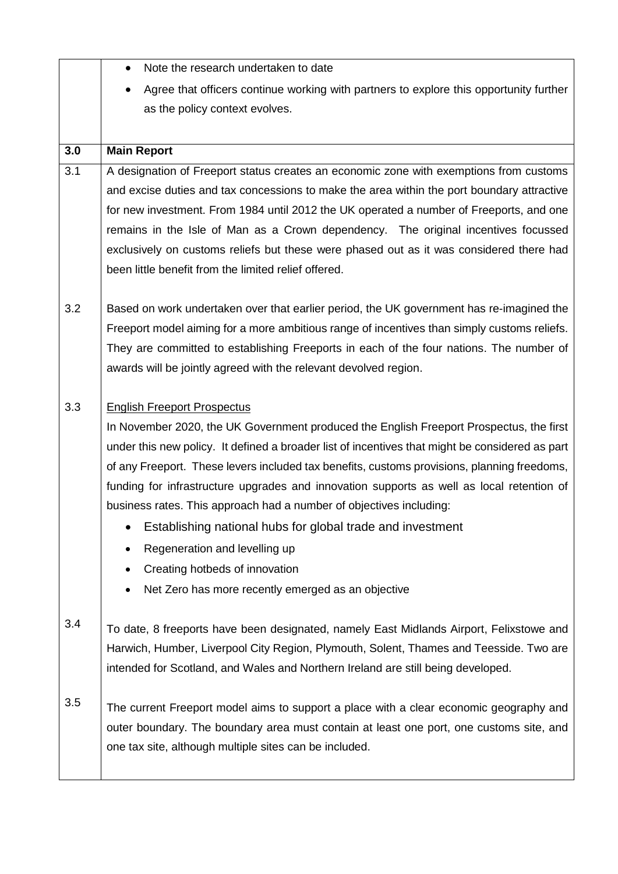|                  | Note the research undertaken to date<br>$\bullet$                                               |
|------------------|-------------------------------------------------------------------------------------------------|
|                  | Agree that officers continue working with partners to explore this opportunity further          |
|                  | as the policy context evolves.                                                                  |
|                  |                                                                                                 |
| 3.0              | <b>Main Report</b>                                                                              |
| $\overline{3.1}$ | A designation of Freeport status creates an economic zone with exemptions from customs          |
|                  | and excise duties and tax concessions to make the area within the port boundary attractive      |
|                  | for new investment. From 1984 until 2012 the UK operated a number of Freeports, and one         |
|                  | remains in the Isle of Man as a Crown dependency. The original incentives focussed              |
|                  | exclusively on customs reliefs but these were phased out as it was considered there had         |
|                  | been little benefit from the limited relief offered.                                            |
|                  |                                                                                                 |
| 3.2              | Based on work undertaken over that earlier period, the UK government has re-imagined the        |
|                  | Freeport model aiming for a more ambitious range of incentives than simply customs reliefs.     |
|                  | They are committed to establishing Freeports in each of the four nations. The number of         |
|                  | awards will be jointly agreed with the relevant devolved region.                                |
|                  |                                                                                                 |
| 3.3              | <b>English Freeport Prospectus</b>                                                              |
|                  | In November 2020, the UK Government produced the English Freeport Prospectus, the first         |
|                  | under this new policy. It defined a broader list of incentives that might be considered as part |
|                  | of any Freeport. These levers included tax benefits, customs provisions, planning freedoms,     |
|                  | funding for infrastructure upgrades and innovation supports as well as local retention of       |
|                  | business rates. This approach had a number of objectives including:                             |
|                  | Establishing national hubs for global trade and investment                                      |
|                  | Regeneration and levelling up                                                                   |
|                  | Creating hotbeds of innovation                                                                  |
|                  | Net Zero has more recently emerged as an objective                                              |
| 3.4              | To date, 8 freeports have been designated, namely East Midlands Airport, Felixstowe and         |
|                  | Harwich, Humber, Liverpool City Region, Plymouth, Solent, Thames and Teesside. Two are          |
|                  | intended for Scotland, and Wales and Northern Ireland are still being developed.                |
|                  |                                                                                                 |
| 3.5              | The current Freeport model aims to support a place with a clear economic geography and          |
|                  | outer boundary. The boundary area must contain at least one port, one customs site, and         |
|                  | one tax site, although multiple sites can be included.                                          |
|                  |                                                                                                 |
|                  |                                                                                                 |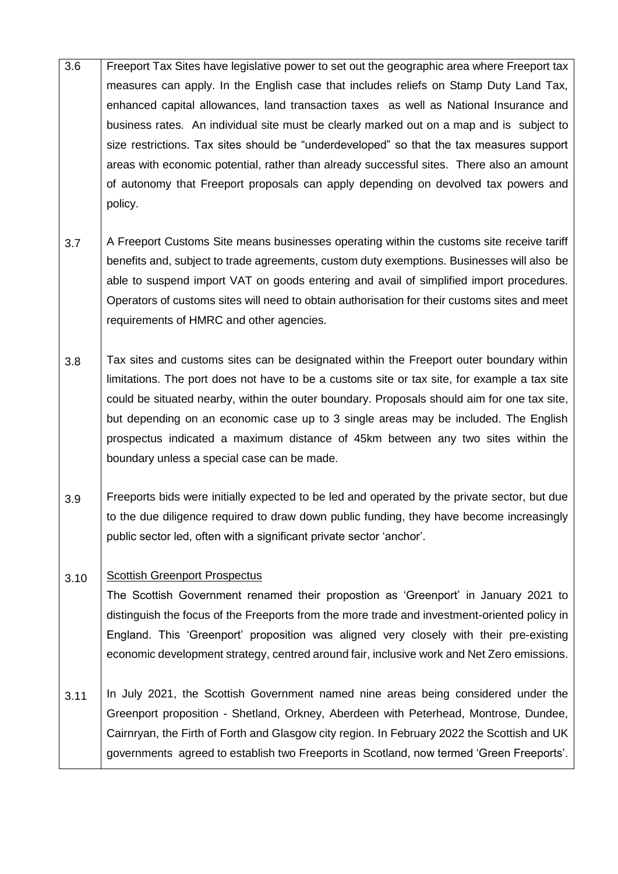- 3.6 Freeport Tax Sites have legislative power to set out the geographic area where Freeport tax measures can apply. In the English case that includes reliefs on Stamp Duty Land Tax, enhanced capital allowances, land transaction taxes as well as National Insurance and business rates. An individual site must be clearly marked out on a map and is subject to size restrictions. Tax sites should be "underdeveloped" so that the tax measures support areas with economic potential, rather than already successful sites. There also an amount of autonomy that Freeport proposals can apply depending on devolved tax powers and policy.
- 3.7 A Freeport Customs Site means businesses operating within the customs site receive tariff benefits and, subject to trade agreements, custom duty exemptions. Businesses will also be able to suspend import VAT on goods entering and avail of simplified import procedures. Operators of customs sites will need to obtain authorisation for their customs sites and meet requirements of HMRC and other agencies.
- 3.8 Tax sites and customs sites can be designated within the Freeport outer boundary within limitations. The port does not have to be a customs site or tax site, for example a tax site could be situated nearby, within the outer boundary. Proposals should aim for one tax site, but depending on an economic case up to 3 single areas may be included. The English prospectus indicated a maximum distance of 45km between any two sites within the boundary unless a special case can be made.
- 3.9 Freeports bids were initially expected to be led and operated by the private sector, but due to the due diligence required to draw down public funding, they have become increasingly public sector led, often with a significant private sector 'anchor'.

## 3.10 Scottish Greenport Prospectus

The Scottish Government renamed their propostion as 'Greenport' in January 2021 to distinguish the focus of the Freeports from the more trade and investment-oriented policy in England. This 'Greenport' proposition was aligned very closely with their pre-existing economic development strategy, centred around fair, inclusive work and Net Zero emissions.

3.11 In July 2021, the Scottish Government named nine areas being considered under the Greenport proposition - Shetland, Orkney, Aberdeen with Peterhead, Montrose, Dundee, Cairnryan, the Firth of Forth and Glasgow city region. In February 2022 the Scottish and UK governments agreed to establish two Freeports in Scotland, now termed 'Green Freeports'.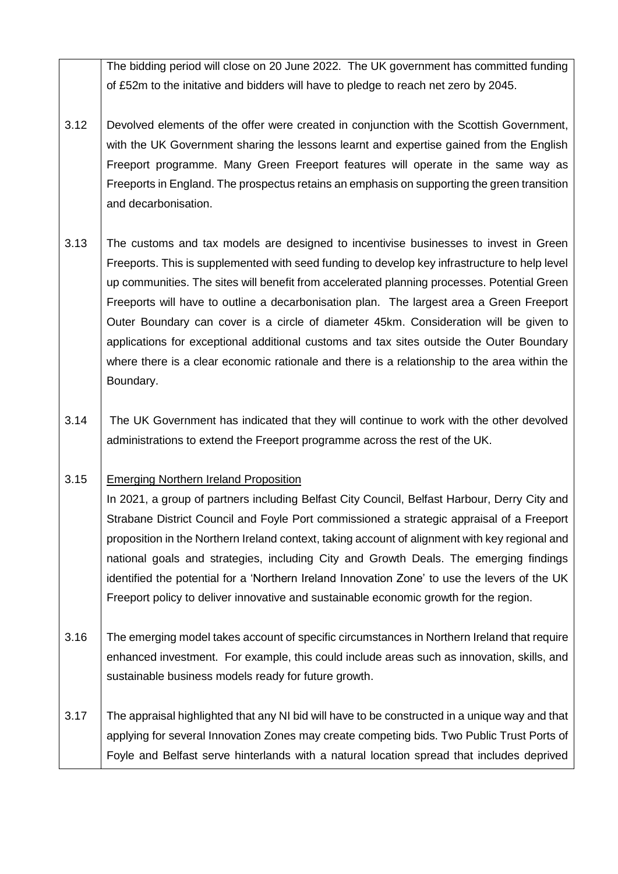The bidding period will close on 20 June 2022. The UK government has committed funding of £52m to the initative and bidders will have to pledge to reach net zero by 2045.

- 3.12 Devolved elements of the offer were created in conjunction with the Scottish Government, with the UK Government sharing the lessons learnt and expertise gained from the English Freeport programme. Many Green Freeport features will operate in the same way as Freeports in England. The prospectus retains an emphasis on supporting the green transition and decarbonisation.
- 3.13 The customs and tax models are designed to incentivise businesses to invest in Green Freeports. This is supplemented with seed funding to develop key infrastructure to help level up communities. The sites will benefit from accelerated planning processes. Potential Green Freeports will have to outline a decarbonisation plan. The largest area a Green Freeport Outer Boundary can cover is a circle of diameter 45km. Consideration will be given to applications for exceptional additional customs and tax sites outside the Outer Boundary where there is a clear economic rationale and there is a relationship to the area within the Boundary.
- 3.14 The UK Government has indicated that they will continue to work with the other devolved administrations to extend the Freeport programme across the rest of the UK.

## 3.15 Emerging Northern Ireland Proposition

In 2021, a group of partners including Belfast City Council, Belfast Harbour, Derry City and Strabane District Council and Foyle Port commissioned a strategic appraisal of a Freeport proposition in the Northern Ireland context, taking account of alignment with key regional and national goals and strategies, including City and Growth Deals. The emerging findings identified the potential for a 'Northern Ireland Innovation Zone' to use the levers of the UK Freeport policy to deliver innovative and sustainable economic growth for the region.

- 3.16 The emerging model takes account of specific circumstances in Northern Ireland that require enhanced investment. For example, this could include areas such as innovation, skills, and sustainable business models ready for future growth.
- 3.17 The appraisal highlighted that any NI bid will have to be constructed in a unique way and that applying for several Innovation Zones may create competing bids. Two Public Trust Ports of Foyle and Belfast serve hinterlands with a natural location spread that includes deprived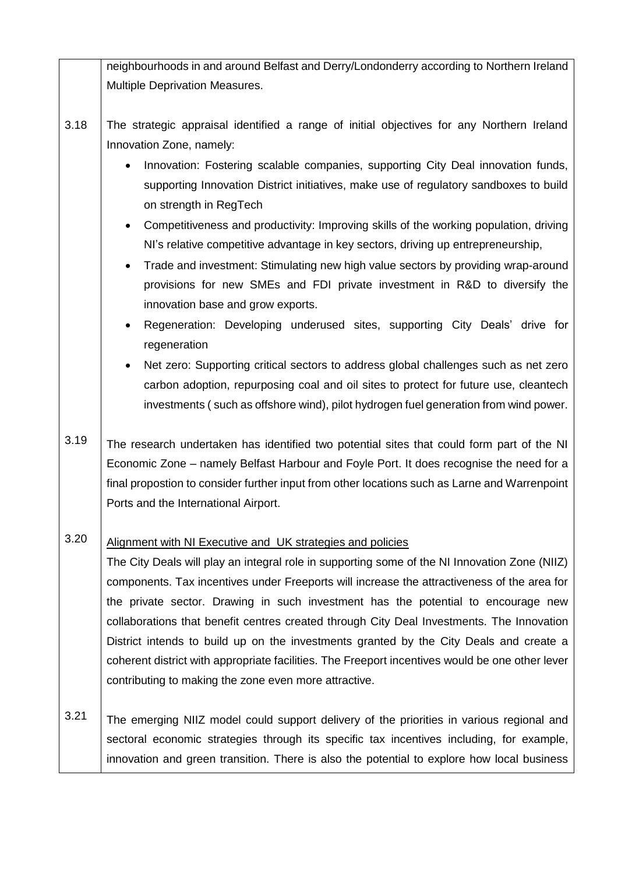|      | neighbourhoods in and around Belfast and Derry/Londonderry according to Northern Ireland                                                                                                                                                                                                                                                                                                                                                                                                                                                                                                                                                                                                                                                   |
|------|--------------------------------------------------------------------------------------------------------------------------------------------------------------------------------------------------------------------------------------------------------------------------------------------------------------------------------------------------------------------------------------------------------------------------------------------------------------------------------------------------------------------------------------------------------------------------------------------------------------------------------------------------------------------------------------------------------------------------------------------|
|      | Multiple Deprivation Measures.                                                                                                                                                                                                                                                                                                                                                                                                                                                                                                                                                                                                                                                                                                             |
|      |                                                                                                                                                                                                                                                                                                                                                                                                                                                                                                                                                                                                                                                                                                                                            |
| 3.18 | The strategic appraisal identified a range of initial objectives for any Northern Ireland<br>Innovation Zone, namely:                                                                                                                                                                                                                                                                                                                                                                                                                                                                                                                                                                                                                      |
|      | Innovation: Fostering scalable companies, supporting City Deal innovation funds,<br>$\bullet$<br>supporting Innovation District initiatives, make use of regulatory sandboxes to build<br>on strength in RegTech<br>Competitiveness and productivity: Improving skills of the working population, driving<br>$\bullet$<br>NI's relative competitive advantage in key sectors, driving up entrepreneurship,<br>Trade and investment: Stimulating new high value sectors by providing wrap-around<br>$\bullet$<br>provisions for new SMEs and FDI private investment in R&D to diversify the<br>innovation base and grow exports.<br>Regeneration: Developing underused sites, supporting City Deals' drive for<br>$\bullet$<br>regeneration |
|      | Net zero: Supporting critical sectors to address global challenges such as net zero<br>$\bullet$<br>carbon adoption, repurposing coal and oil sites to protect for future use, cleantech<br>investments (such as offshore wind), pilot hydrogen fuel generation from wind power.                                                                                                                                                                                                                                                                                                                                                                                                                                                           |
| 3.19 | The research undertaken has identified two potential sites that could form part of the NI<br>Economic Zone – namely Belfast Harbour and Foyle Port. It does recognise the need for a<br>final propostion to consider further input from other locations such as Larne and Warrenpoint<br>Ports and the International Airport.                                                                                                                                                                                                                                                                                                                                                                                                              |
| 3.20 | Alignment with NI Executive and UK strategies and policies<br>The City Deals will play an integral role in supporting some of the NI Innovation Zone (NIIZ)<br>components. Tax incentives under Freeports will increase the attractiveness of the area for<br>the private sector. Drawing in such investment has the potential to encourage new<br>collaborations that benefit centres created through City Deal Investments. The Innovation<br>District intends to build up on the investments granted by the City Deals and create a<br>coherent district with appropriate facilities. The Freeport incentives would be one other lever<br>contributing to making the zone even more attractive.                                         |
| 3.21 | The emerging NIIZ model could support delivery of the priorities in various regional and<br>sectoral economic strategies through its specific tax incentives including, for example,<br>innovation and green transition. There is also the potential to explore how local business                                                                                                                                                                                                                                                                                                                                                                                                                                                         |